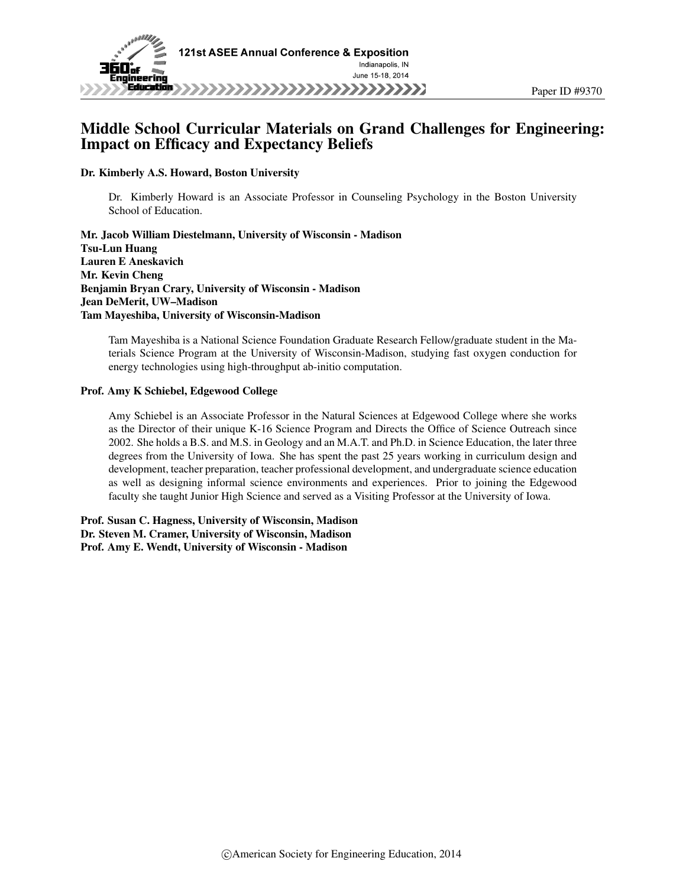

# Middle School Curricular Materials on Grand Challenges for Engineering: Impact on Efficacy and Expectancy Beliefs

Dr. Kimberly A.S. Howard, Boston University

Dr. Kimberly Howard is an Associate Professor in Counseling Psychology in the Boston University School of Education.

Mr. Jacob William Diestelmann, University of Wisconsin - Madison Tsu-Lun Huang Lauren E Aneskavich Mr. Kevin Cheng Benjamin Bryan Crary, University of Wisconsin - Madison Jean DeMerit, UW–Madison Tam Mayeshiba, University of Wisconsin-Madison

Tam Mayeshiba is a National Science Foundation Graduate Research Fellow/graduate student in the Materials Science Program at the University of Wisconsin-Madison, studying fast oxygen conduction for energy technologies using high-throughput ab-initio computation.

#### Prof. Amy K Schiebel, Edgewood College

Amy Schiebel is an Associate Professor in the Natural Sciences at Edgewood College where she works as the Director of their unique K-16 Science Program and Directs the Office of Science Outreach since 2002. She holds a B.S. and M.S. in Geology and an M.A.T. and Ph.D. in Science Education, the later three degrees from the University of Iowa. She has spent the past 25 years working in curriculum design and development, teacher preparation, teacher professional development, and undergraduate science education as well as designing informal science environments and experiences. Prior to joining the Edgewood faculty she taught Junior High Science and served as a Visiting Professor at the University of Iowa.

Prof. Susan C. Hagness, University of Wisconsin, Madison Dr. Steven M. Cramer, University of Wisconsin, Madison Prof. Amy E. Wendt, University of Wisconsin - Madison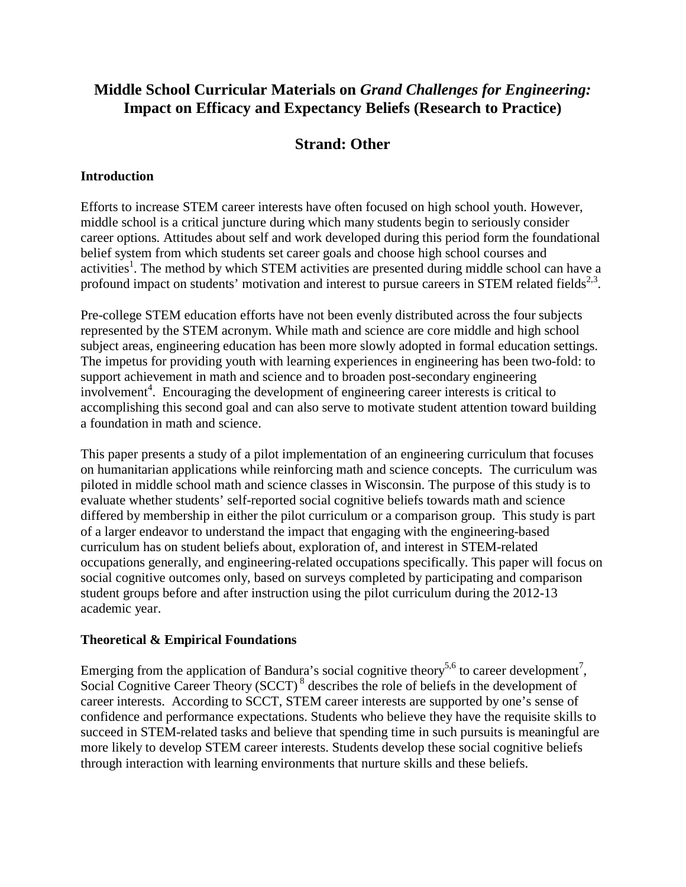# **Middle School Curricular Materials on** *Grand Challenges for Engineering:* **Impact on Efficacy and Expectancy Beliefs (Research to Practice)**

# **Strand: Other**

## **Introduction**

Efforts to increase STEM career interests have often focused on high school youth. However, middle school is a critical juncture during which many students begin to seriously consider career options. Attitudes about self and work developed during this period form the foundational belief system from which students set career goals and choose high school courses and activities<sup>1</sup>. The method by which STEM activities are presented during middle school can have a profound impact on students' motivation and interest to pursue careers in STEM related fields<sup>2,3</sup>.

Pre-college STEM education efforts have not been evenly distributed across the four subjects represented by the STEM acronym. While math and science are core middle and high school subject areas, engineering education has been more slowly adopted in formal education settings. The impetus for providing youth with learning experiences in engineering has been two-fold: to support achievement in math and science and to broaden post-secondary engineering involvement<sup>4</sup>. Encouraging the development of engineering career interests is critical to accomplishing this second goal and can also serve to motivate student attention toward building a foundation in math and science.

This paper presents a study of a pilot implementation of an engineering curriculum that focuses on humanitarian applications while reinforcing math and science concepts. The curriculum was piloted in middle school math and science classes in Wisconsin. The purpose of this study is to evaluate whether students' self-reported social cognitive beliefs towards math and science differed by membership in either the pilot curriculum or a comparison group. This study is part of a larger endeavor to understand the impact that engaging with the engineering-based curriculum has on student beliefs about, exploration of, and interest in STEM-related occupations generally, and engineering-related occupations specifically. This paper will focus on social cognitive outcomes only, based on surveys completed by participating and comparison student groups before and after instruction using the pilot curriculum during the 2012-13 academic year.

## **Theoretical & Empirical Foundations**

Emerging from the application of Bandura's social cognitive theory<sup>5,6</sup> to career development<sup>7</sup>, Social Cognitive Career Theory (SCCT)<sup>8</sup> describes the role of beliefs in the development of career interests. According to SCCT, STEM career interests are supported by one's sense of confidence and performance expectations. Students who believe they have the requisite skills to succeed in STEM-related tasks and believe that spending time in such pursuits is meaningful are more likely to develop STEM career interests. Students develop these social cognitive beliefs through interaction with learning environments that nurture skills and these beliefs.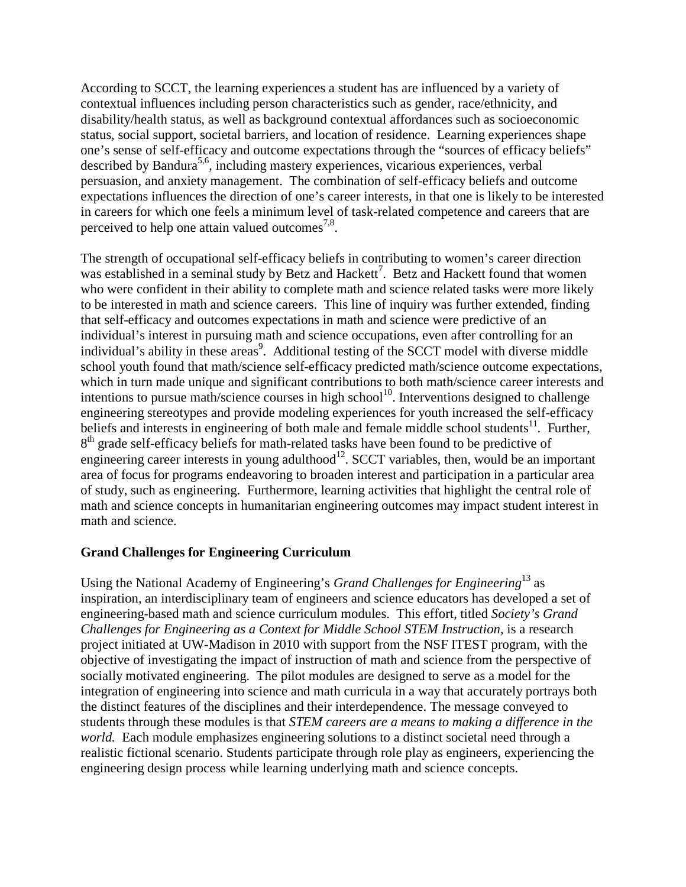According to SCCT, the learning experiences a student has are influenced by a variety of contextual influences including person characteristics such as gender, race/ethnicity, and disability/health status, as well as background contextual affordances such as socioeconomic status, social support, societal barriers, and location of residence. Learning experiences shape one's sense of self-efficacy and outcome expectations through the "sources of efficacy beliefs" described by Bandura<sup>5,6</sup>, including mastery experiences, vicarious experiences, verbal persuasion, and anxiety management. The combination of self-efficacy beliefs and outcome expectations influences the direction of one's career interests, in that one is likely to be interested in careers for which one feels a minimum level of task-related competence and careers that are perceived to help one attain valued outcomes<sup>7,8</sup>.

The strength of occupational self-efficacy beliefs in contributing to women's career direction was established in a seminal study by Betz and Hackett<sup>7</sup>. Betz and Hackett found that women who were confident in their ability to complete math and science related tasks were more likely to be interested in math and science careers. This line of inquiry was further extended, finding that self-efficacy and outcomes expectations in math and science were predictive of an individual's interest in pursuing math and science occupations, even after controlling for an individual's ability in these areas<sup>9</sup>. Additional testing of the SCCT model with diverse middle school youth found that math/science self-efficacy predicted math/science outcome expectations, which in turn made unique and significant contributions to both math/science career interests and intentions to pursue math/science courses in high school<sup>10</sup>. Interventions designed to challenge engineering stereotypes and provide modeling experiences for youth increased the self-efficacy beliefs and interests in engineering of both male and female middle school students<sup>11</sup>. Further, 8<sup>th</sup> grade self-efficacy beliefs for math-related tasks have been found to be predictive of engineering career interests in young adulthood<sup>12</sup>. SCCT variables, then, would be an important area of focus for programs endeavoring to broaden interest and participation in a particular area of study, such as engineering. Furthermore, learning activities that highlight the central role of math and science concepts in humanitarian engineering outcomes may impact student interest in math and science.

## **Grand Challenges for Engineering Curriculum**

Using the National Academy of Engineering's *Grand Challenges for Engineering*<sup>13</sup> as inspiration, an interdisciplinary team of engineers and science educators has developed a set of engineering-based math and science curriculum modules. This effort, titled *Society's Grand Challenges for Engineering as a Context for Middle School STEM Instruction, is a research* project initiated at UW-Madison in 2010 with support from the NSF ITEST program, with the objective of investigating the impact of instruction of math and science from the perspective of socially motivated engineering. The pilot modules are designed to serve as a model for the integration of engineering into science and math curricula in a way that accurately portrays both the distinct features of the disciplines and their interdependence. The message conveyed to students through these modules is that *STEM careers are a means to making a difference in the world.* Each module emphasizes engineering solutions to a distinct societal need through a realistic fictional scenario. Students participate through role play as engineers, experiencing the engineering design process while learning underlying math and science concepts.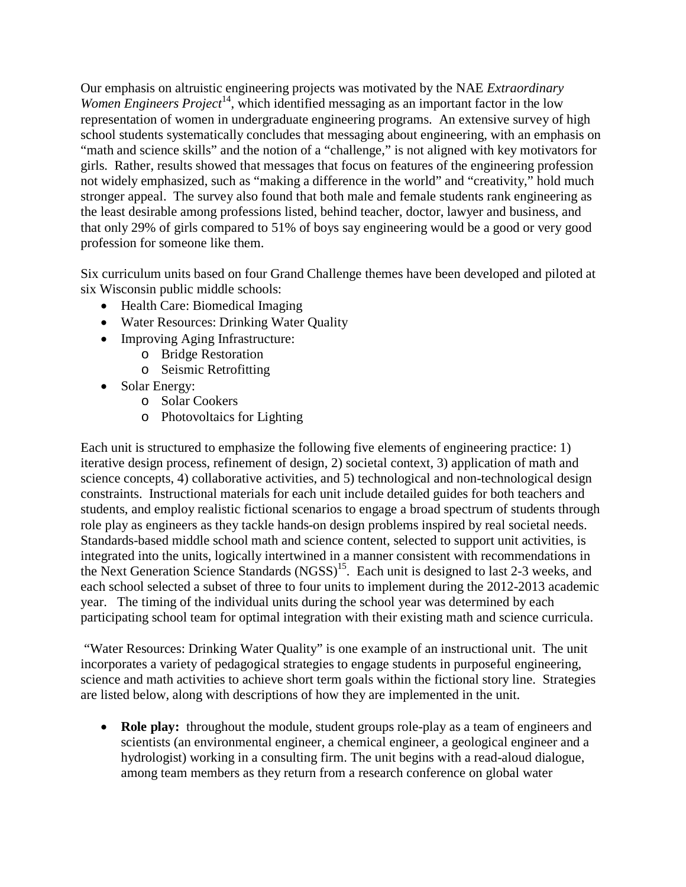Our emphasis on altruistic engineering projects was motivated by the NAE *Extraordinary*  Women Engineers Project<sup>14</sup>, which identified messaging as an important factor in the low representation of women in undergraduate engineering programs. An extensive survey of high school students systematically concludes that messaging about engineering, with an emphasis on "math and science skills" and the notion of a "challenge," is not aligned with key motivators for girls. Rather, results showed that messages that focus on features of the engineering profession not widely emphasized, such as "making a difference in the world" and "creativity," hold much stronger appeal. The survey also found that both male and female students rank engineering as the least desirable among professions listed, behind teacher, doctor, lawyer and business, and that only 29% of girls compared to 51% of boys say engineering would be a good or very good profession for someone like them.

Six curriculum units based on four Grand Challenge themes have been developed and piloted at six Wisconsin public middle schools:

- Health Care: Biomedical Imaging
- Water Resources: Drinking Water Quality
- Improving Aging Infrastructure:
	- o Bridge Restoration
	- o Seismic Retrofitting
- Solar Energy:
	- o Solar Cookers
	- o Photovoltaics for Lighting

Each unit is structured to emphasize the following five elements of engineering practice: 1) iterative design process, refinement of design, 2) societal context, 3) application of math and science concepts, 4) collaborative activities, and 5) technological and non-technological design constraints. Instructional materials for each unit include detailed guides for both teachers and students, and employ realistic fictional scenarios to engage a broad spectrum of students through role play as engineers as they tackle hands-on design problems inspired by real societal needs. Standards-based middle school math and science content, selected to support unit activities, is integrated into the units, logically intertwined in a manner consistent with recommendations in the Next Generation Science Standards (NGSS)<sup>15</sup>. Each unit is designed to last 2-3 weeks, and each school selected a subset of three to four units to implement during the 2012-2013 academic year. The timing of the individual units during the school year was determined by each participating school team for optimal integration with their existing math and science curricula.

"Water Resources: Drinking Water Quality" is one example of an instructional unit. The unit incorporates a variety of pedagogical strategies to engage students in purposeful engineering, science and math activities to achieve short term goals within the fictional story line. Strategies are listed below, along with descriptions of how they are implemented in the unit.

• **Role play:** throughout the module, student groups role-play as a team of engineers and scientists (an environmental engineer, a chemical engineer, a geological engineer and a hydrologist) working in a consulting firm. The unit begins with a read-aloud dialogue, among team members as they return from a research conference on global water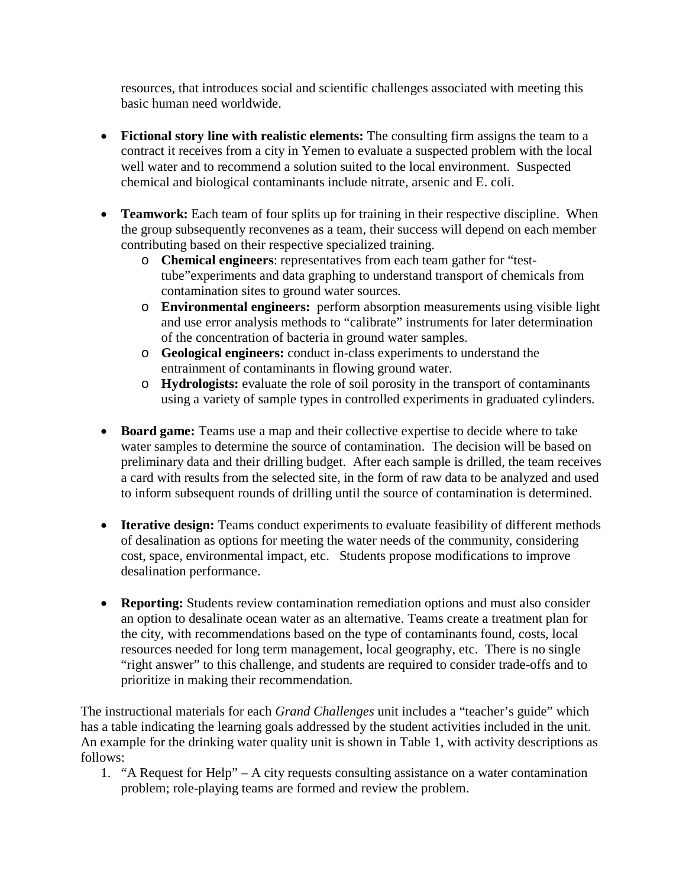resources, that introduces social and scientific challenges associated with meeting this basic human need worldwide.

- **Fictional story line with realistic elements:** The consulting firm assigns the team to a contract it receives from a city in Yemen to evaluate a suspected problem with the local well water and to recommend a solution suited to the local environment. Suspected chemical and biological contaminants include nitrate, arsenic and E. coli.
- **Teamwork:** Each team of four splits up for training in their respective discipline. When the group subsequently reconvenes as a team, their success will depend on each member contributing based on their respective specialized training.
	- o **Chemical engineers**: representatives from each team gather for "testtube"experiments and data graphing to understand transport of chemicals from contamination sites to ground water sources.
	- o **Environmental engineers:** perform absorption measurements using visible light and use error analysis methods to "calibrate" instruments for later determination of the concentration of bacteria in ground water samples.
	- o **Geological engineers:** conduct in-class experiments to understand the entrainment of contaminants in flowing ground water.
	- o **Hydrologists:** evaluate the role of soil porosity in the transport of contaminants using a variety of sample types in controlled experiments in graduated cylinders.
- **Board game:** Teams use a map and their collective expertise to decide where to take water samples to determine the source of contamination. The decision will be based on preliminary data and their drilling budget. After each sample is drilled, the team receives a card with results from the selected site, in the form of raw data to be analyzed and used to inform subsequent rounds of drilling until the source of contamination is determined.
- **Iterative design:** Teams conduct experiments to evaluate feasibility of different methods of desalination as options for meeting the water needs of the community, considering cost, space, environmental impact, etc. Students propose modifications to improve desalination performance.
- **Reporting:** Students review contamination remediation options and must also consider an option to desalinate ocean water as an alternative. Teams create a treatment plan for the city, with recommendations based on the type of contaminants found, costs, local resources needed for long term management, local geography, etc. There is no single "right answer" to this challenge, and students are required to consider trade-offs and to prioritize in making their recommendation.

The instructional materials for each *Grand Challenges* unit includes a "teacher's guide" which has a table indicating the learning goals addressed by the student activities included in the unit. An example for the drinking water quality unit is shown in Table 1, with activity descriptions as follows:

1. "A Request for Help" – A city requests consulting assistance on a water contamination problem; role-playing teams are formed and review the problem.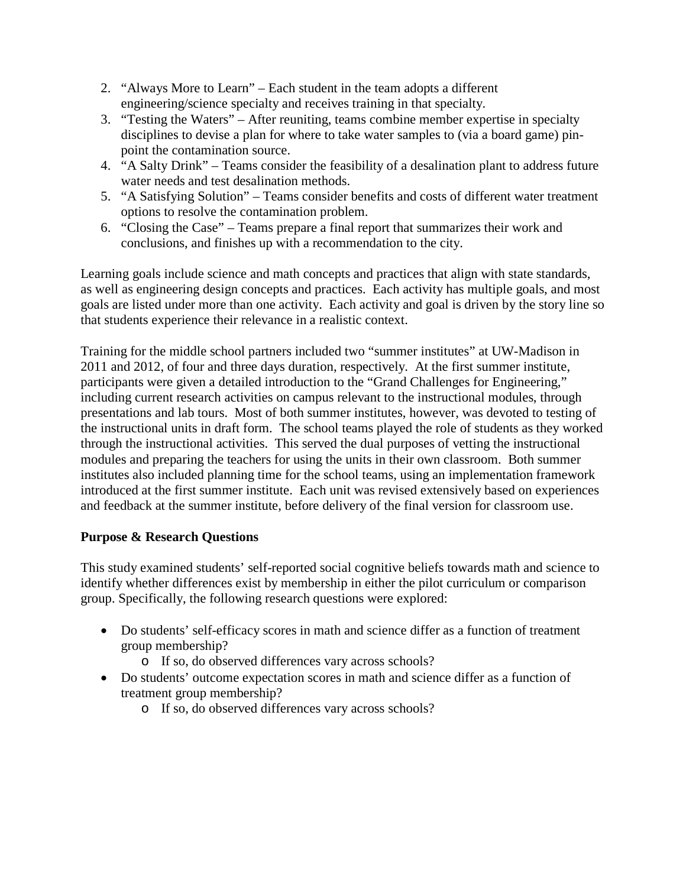- 2. "Always More to Learn" Each student in the team adopts a different engineering/science specialty and receives training in that specialty.
- 3. "Testing the Waters" After reuniting, teams combine member expertise in specialty disciplines to devise a plan for where to take water samples to (via a board game) pinpoint the contamination source.
- 4. "A Salty Drink" Teams consider the feasibility of a desalination plant to address future water needs and test desalination methods.
- 5. "A Satisfying Solution" Teams consider benefits and costs of different water treatment options to resolve the contamination problem.
- 6. "Closing the Case" Teams prepare a final report that summarizes their work and conclusions, and finishes up with a recommendation to the city.

Learning goals include science and math concepts and practices that align with state standards, as well as engineering design concepts and practices. Each activity has multiple goals, and most goals are listed under more than one activity. Each activity and goal is driven by the story line so that students experience their relevance in a realistic context.

Training for the middle school partners included two "summer institutes" at UW-Madison in 2011 and 2012, of four and three days duration, respectively. At the first summer institute, participants were given a detailed introduction to the "Grand Challenges for Engineering," including current research activities on campus relevant to the instructional modules, through presentations and lab tours. Most of both summer institutes, however, was devoted to testing of the instructional units in draft form. The school teams played the role of students as they worked through the instructional activities. This served the dual purposes of vetting the instructional modules and preparing the teachers for using the units in their own classroom. Both summer institutes also included planning time for the school teams, using an implementation framework introduced at the first summer institute. Each unit was revised extensively based on experiences and feedback at the summer institute, before delivery of the final version for classroom use.

# **Purpose & Research Questions**

This study examined students' self-reported social cognitive beliefs towards math and science to identify whether differences exist by membership in either the pilot curriculum or comparison group. Specifically, the following research questions were explored:

- Do students' self-efficacy scores in math and science differ as a function of treatment group membership?
	- o If so, do observed differences vary across schools?
- Do students' outcome expectation scores in math and science differ as a function of treatment group membership?
	- o If so, do observed differences vary across schools?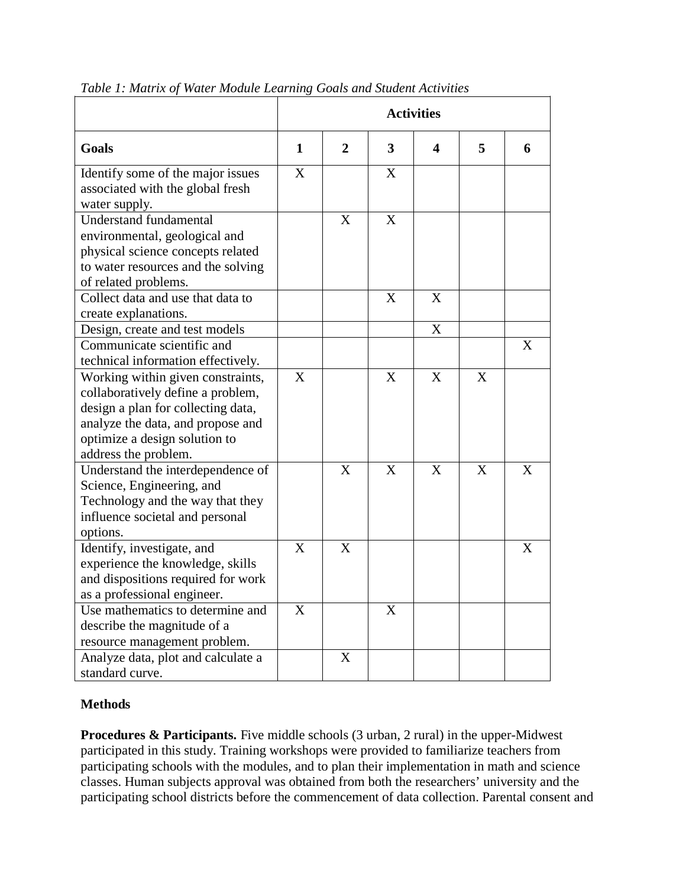|                                                                                                                                                                                                            | <b>Activities</b> |                |                         |   |   |   |
|------------------------------------------------------------------------------------------------------------------------------------------------------------------------------------------------------------|-------------------|----------------|-------------------------|---|---|---|
| Goals                                                                                                                                                                                                      | $\mathbf{1}$      | $\overline{2}$ | $\overline{\mathbf{3}}$ | 4 | 5 | 6 |
| Identify some of the major issues<br>associated with the global fresh<br>water supply.                                                                                                                     | $\mathbf{X}$      |                | X                       |   |   |   |
| <b>Understand fundamental</b><br>environmental, geological and<br>physical science concepts related<br>to water resources and the solving<br>of related problems.                                          |                   | X              | X                       |   |   |   |
| Collect data and use that data to<br>create explanations.                                                                                                                                                  |                   |                | X                       | X |   |   |
| Design, create and test models                                                                                                                                                                             |                   |                |                         | X |   |   |
| Communicate scientific and<br>technical information effectively.                                                                                                                                           |                   |                |                         |   |   | X |
| Working within given constraints,<br>collaboratively define a problem,<br>design a plan for collecting data,<br>analyze the data, and propose and<br>optimize a design solution to<br>address the problem. | X                 |                | X                       | X | X |   |
| Understand the interdependence of<br>Science, Engineering, and<br>Technology and the way that they<br>influence societal and personal<br>options.                                                          |                   | X              | $\overline{X}$          | X | X | X |
| Identify, investigate, and<br>experience the knowledge, skills<br>and dispositions required for work<br>as a professional engineer.                                                                        | $\overline{X}$    | X              |                         |   |   | X |
| Use mathematics to determine and<br>describe the magnitude of a<br>resource management problem.                                                                                                            | X                 |                | X                       |   |   |   |
| Analyze data, plot and calculate a<br>standard curve.                                                                                                                                                      |                   | X              |                         |   |   |   |

#### *Table 1: Matrix of Water Module Learning Goals and Student Activities*

#### **Methods**

**Procedures & Participants.** Five middle schools (3 urban, 2 rural) in the upper-Midwest participated in this study. Training workshops were provided to familiarize teachers from participating schools with the modules, and to plan their implementation in math and science classes. Human subjects approval was obtained from both the researchers' university and the participating school districts before the commencement of data collection. Parental consent and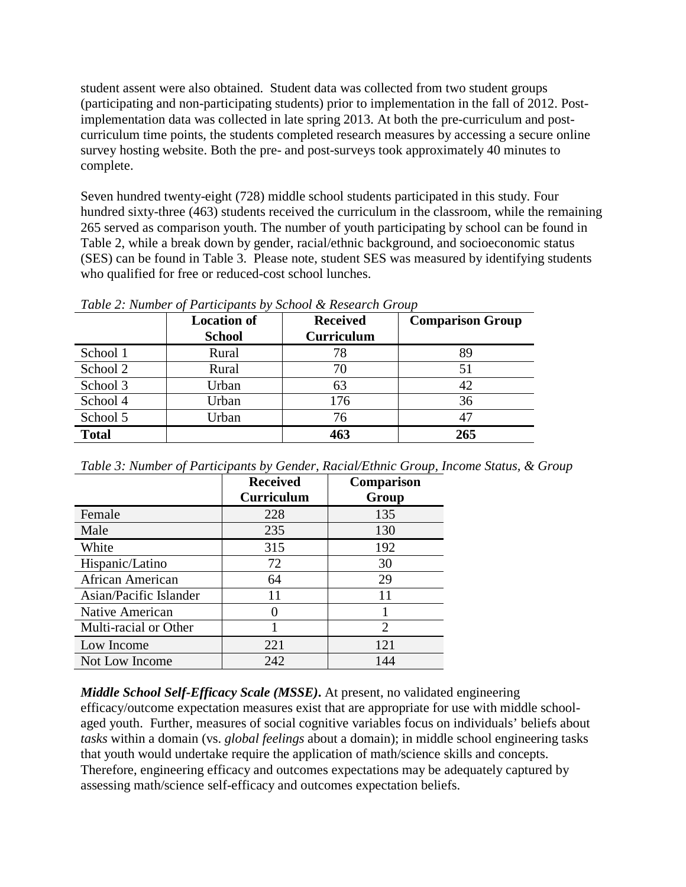student assent were also obtained. Student data was collected from two student groups (participating and non-participating students) prior to implementation in the fall of 2012. Postimplementation data was collected in late spring 2013. At both the pre-curriculum and postcurriculum time points, the students completed research measures by accessing a secure online survey hosting website. Both the pre- and post-surveys took approximately 40 minutes to complete.

Seven hundred twenty-eight (728) middle school students participated in this study. Four hundred sixty-three (463) students received the curriculum in the classroom, while the remaining 265 served as comparison youth. The number of youth participating by school can be found in Table 2, while a break down by gender, racial/ethnic background, and socioeconomic status (SES) can be found in Table 3. Please note, student SES was measured by identifying students who qualified for free or reduced-cost school lunches.

| $1$ and $2$ . The contract $\sigma$ is the complete through $\sigma$ is the set of $\sigma$ is the complete through $\sigma$ |                    |                   |                         |  |  |
|------------------------------------------------------------------------------------------------------------------------------|--------------------|-------------------|-------------------------|--|--|
|                                                                                                                              | <b>Location of</b> | <b>Received</b>   | <b>Comparison Group</b> |  |  |
|                                                                                                                              | <b>School</b>      | <b>Curriculum</b> |                         |  |  |
| School 1                                                                                                                     | Rural              | 78                | 89                      |  |  |
| School 2                                                                                                                     | Rural              | 70                | 51                      |  |  |
| School 3                                                                                                                     | Urban              | 63                | 42                      |  |  |
| School 4                                                                                                                     | Urban              | 176               | 36                      |  |  |
| School 5                                                                                                                     | Urban              | 76                | 47                      |  |  |
| <b>Total</b>                                                                                                                 |                    | 463               | 265                     |  |  |

*Table 2: Number of Participants by School & Research Group*

| Table 3: Number of Participants by Gender, Racial/Ethnic Group, Income Status, & Group |  |  |  |
|----------------------------------------------------------------------------------------|--|--|--|
|                                                                                        |  |  |  |

|                        | <b>Received</b><br><b>Curriculum</b> | Comparison<br>Group         |
|------------------------|--------------------------------------|-----------------------------|
| Female                 | 228                                  | 135                         |
| Male                   | 235                                  | 130                         |
| White                  | 315                                  | 192                         |
| Hispanic/Latino        | 72                                   | 30                          |
| African American       | 64                                   | 29                          |
| Asian/Pacific Islander | 11                                   | 11                          |
| Native American        |                                      |                             |
| Multi-racial or Other  |                                      | $\mathcal{D}_{\mathcal{A}}$ |
| Low Income             | 221                                  | 12.1                        |
| Not Low Income         | 242                                  | 144                         |

*Middle School Self-Efficacy Scale (MSSE)***.** At present, no validated engineering efficacy/outcome expectation measures exist that are appropriate for use with middle schoolaged youth. Further, measures of social cognitive variables focus on individuals' beliefs about *tasks* within a domain (vs. *global feelings* about a domain); in middle school engineering tasks that youth would undertake require the application of math/science skills and concepts. Therefore, engineering efficacy and outcomes expectations may be adequately captured by assessing math/science self-efficacy and outcomes expectation beliefs.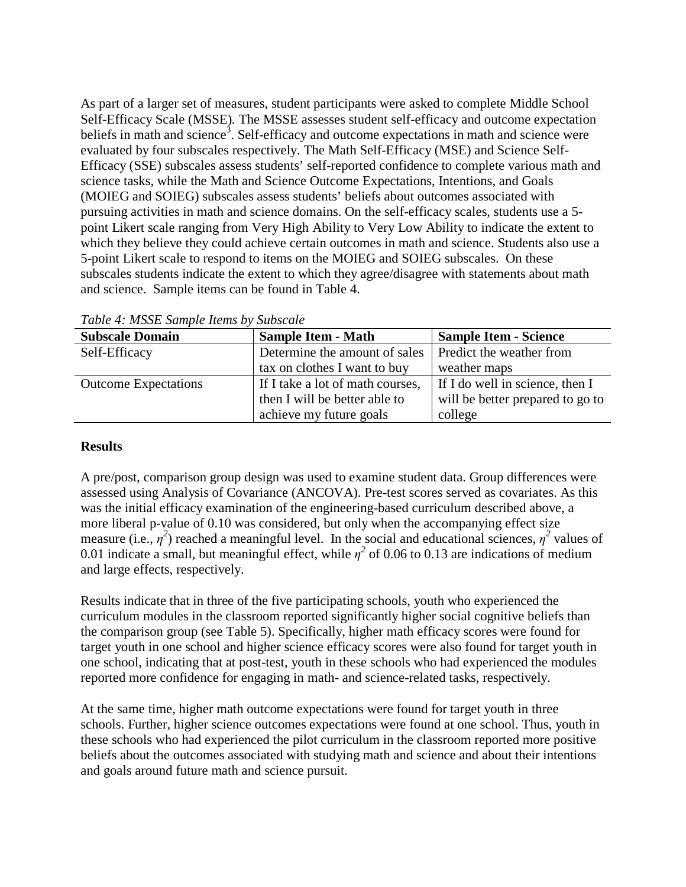As part of a larger set of measures, student participants were asked to complete Middle School Self-Efficacy Scale (MSSE)*.* The MSSE assesses student self-efficacy and outcome expectation beliefs in math and science<sup>3</sup>. Self-efficacy and outcome expectations in math and science were evaluated by four subscales respectively. The Math Self-Efficacy (MSE) and Science Self-Efficacy (SSE) subscales assess students' self-reported confidence to complete various math and science tasks, while the Math and Science Outcome Expectations, Intentions, and Goals (MOIEG and SOIEG) subscales assess students' beliefs about outcomes associated with pursuing activities in math and science domains. On the self-efficacy scales, students use a 5 point Likert scale ranging from Very High Ability to Very Low Ability to indicate the extent to which they believe they could achieve certain outcomes in math and science. Students also use a 5-point Likert scale to respond to items on the MOIEG and SOIEG subscales. On these subscales students indicate the extent to which they agree/disagree with statements about math and science. Sample items can be found in Table 4.

| <b>Subscale Domain</b>      | <b>Sample Item - Math</b>        | <b>Sample Item - Science</b>     |
|-----------------------------|----------------------------------|----------------------------------|
| Self-Efficacy               | Determine the amount of sales    | Predict the weather from         |
|                             | tax on clothes I want to buy     | weather maps                     |
| <b>Outcome Expectations</b> | If I take a lot of math courses, | If I do well in science, then I  |
|                             | then I will be better able to    | will be better prepared to go to |
|                             | achieve my future goals          | college                          |

*Table 4: MSSE Sample Items by Subscale*

## **Results**

A pre/post, comparison group design was used to examine student data. Group differences were assessed using Analysis of Covariance (ANCOVA). Pre-test scores served as covariates. As this was the initial efficacy examination of the engineering-based curriculum described above, a more liberal p-value of 0.10 was considered, but only when the accompanying effect size measure (i.e.,  $\eta^2$ ) reached a meaningful level. In the social and educational sciences,  $\eta^2$  values of 0.01 indicate a small, but meaningful effect, while  $\eta^2$  of 0.06 to 0.13 are indications of medium and large effects, respectively.

Results indicate that in three of the five participating schools, youth who experienced the curriculum modules in the classroom reported significantly higher social cognitive beliefs than the comparison group (see Table 5). Specifically, higher math efficacy scores were found for target youth in one school and higher science efficacy scores were also found for target youth in one school, indicating that at post-test, youth in these schools who had experienced the modules reported more confidence for engaging in math- and science-related tasks, respectively.

At the same time, higher math outcome expectations were found for target youth in three schools. Further, higher science outcomes expectations were found at one school. Thus, youth in these schools who had experienced the pilot curriculum in the classroom reported more positive beliefs about the outcomes associated with studying math and science and about their intentions and goals around future math and science pursuit.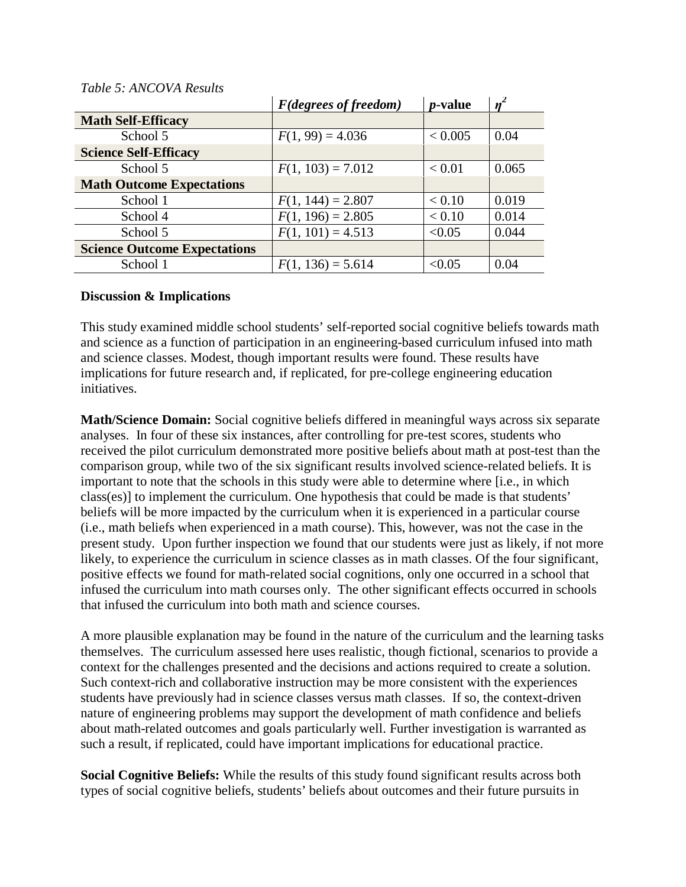|                                     | <b>F</b> (degrees of freedom) | <i>p</i> -value |       |
|-------------------------------------|-------------------------------|-----------------|-------|
| <b>Math Self-Efficacy</b>           |                               |                 |       |
| School 5                            | $F(1, 99) = 4.036$            | < 0.005         | 0.04  |
| <b>Science Self-Efficacy</b>        |                               |                 |       |
| School 5                            | $F(1, 103) = 7.012$           | < 0.01          | 0.065 |
| <b>Math Outcome Expectations</b>    |                               |                 |       |
| School 1                            | $F(1, 144) = 2.807$           | < 0.10          | 0.019 |
| School 4                            | $F(1, 196) = 2.805$           | < 0.10          | 0.014 |
| School 5                            | $F(1, 101) = 4.513$           | < 0.05          | 0.044 |
| <b>Science Outcome Expectations</b> |                               |                 |       |
| School 1                            | $F(1, 136) = 5.614$           | < 0.05          | 0.04  |

#### *Table 5: ANCOVA Results*

#### **Discussion & Implications**

This study examined middle school students' self-reported social cognitive beliefs towards math and science as a function of participation in an engineering-based curriculum infused into math and science classes. Modest, though important results were found. These results have implications for future research and, if replicated, for pre-college engineering education initiatives.

**Math/Science Domain:** Social cognitive beliefs differed in meaningful ways across six separate analyses. In four of these six instances, after controlling for pre-test scores, students who received the pilot curriculum demonstrated more positive beliefs about math at post-test than the comparison group, while two of the six significant results involved science-related beliefs. It is important to note that the schools in this study were able to determine where [i.e., in which class(es)] to implement the curriculum. One hypothesis that could be made is that students' beliefs will be more impacted by the curriculum when it is experienced in a particular course (i.e., math beliefs when experienced in a math course). This, however, was not the case in the present study. Upon further inspection we found that our students were just as likely, if not more likely, to experience the curriculum in science classes as in math classes. Of the four significant, positive effects we found for math-related social cognitions, only one occurred in a school that infused the curriculum into math courses only. The other significant effects occurred in schools that infused the curriculum into both math and science courses.

A more plausible explanation may be found in the nature of the curriculum and the learning tasks themselves. The curriculum assessed here uses realistic, though fictional, scenarios to provide a context for the challenges presented and the decisions and actions required to create a solution. Such context-rich and collaborative instruction may be more consistent with the experiences students have previously had in science classes versus math classes. If so, the context-driven nature of engineering problems may support the development of math confidence and beliefs about math-related outcomes and goals particularly well. Further investigation is warranted as such a result, if replicated, could have important implications for educational practice.

**Social Cognitive Beliefs:** While the results of this study found significant results across both types of social cognitive beliefs, students' beliefs about outcomes and their future pursuits in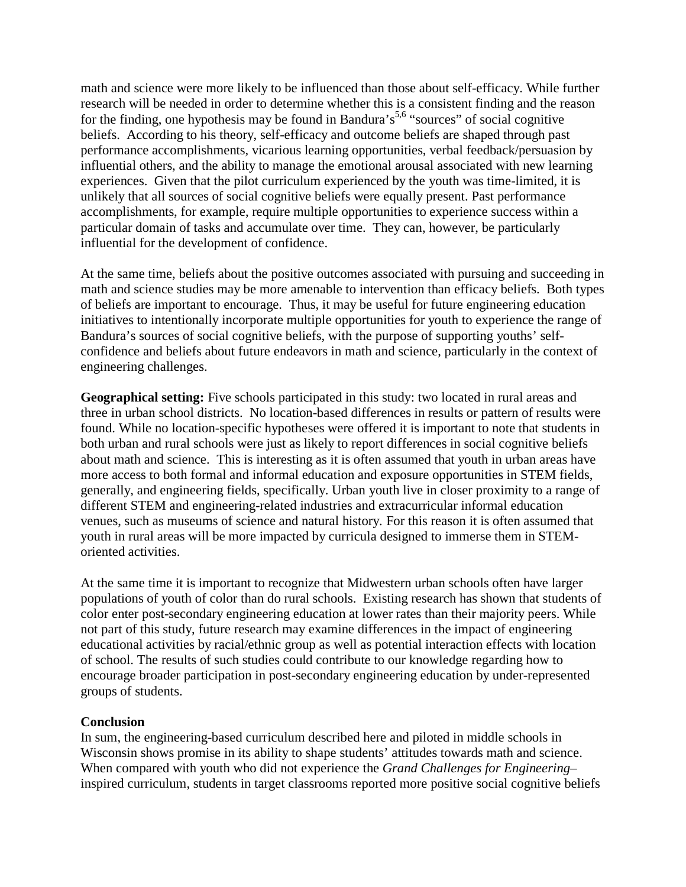math and science were more likely to be influenced than those about self-efficacy. While further research will be needed in order to determine whether this is a consistent finding and the reason for the finding, one hypothesis may be found in Bandura's<sup>5,6</sup> "sources" of social cognitive beliefs. According to his theory, self-efficacy and outcome beliefs are shaped through past performance accomplishments, vicarious learning opportunities, verbal feedback/persuasion by influential others, and the ability to manage the emotional arousal associated with new learning experiences. Given that the pilot curriculum experienced by the youth was time-limited, it is unlikely that all sources of social cognitive beliefs were equally present. Past performance accomplishments, for example, require multiple opportunities to experience success within a particular domain of tasks and accumulate over time. They can, however, be particularly influential for the development of confidence.

At the same time, beliefs about the positive outcomes associated with pursuing and succeeding in math and science studies may be more amenable to intervention than efficacy beliefs. Both types of beliefs are important to encourage. Thus, it may be useful for future engineering education initiatives to intentionally incorporate multiple opportunities for youth to experience the range of Bandura's sources of social cognitive beliefs, with the purpose of supporting youths' selfconfidence and beliefs about future endeavors in math and science, particularly in the context of engineering challenges.

**Geographical setting:** Five schools participated in this study: two located in rural areas and three in urban school districts. No location-based differences in results or pattern of results were found. While no location-specific hypotheses were offered it is important to note that students in both urban and rural schools were just as likely to report differences in social cognitive beliefs about math and science. This is interesting as it is often assumed that youth in urban areas have more access to both formal and informal education and exposure opportunities in STEM fields, generally, and engineering fields, specifically. Urban youth live in closer proximity to a range of different STEM and engineering-related industries and extracurricular informal education venues, such as museums of science and natural history. For this reason it is often assumed that youth in rural areas will be more impacted by curricula designed to immerse them in STEMoriented activities.

At the same time it is important to recognize that Midwestern urban schools often have larger populations of youth of color than do rural schools. Existing research has shown that students of color enter post-secondary engineering education at lower rates than their majority peers. While not part of this study, future research may examine differences in the impact of engineering educational activities by racial/ethnic group as well as potential interaction effects with location of school. The results of such studies could contribute to our knowledge regarding how to encourage broader participation in post-secondary engineering education by under-represented groups of students.

#### **Conclusion**

In sum, the engineering-based curriculum described here and piloted in middle schools in Wisconsin shows promise in its ability to shape students' attitudes towards math and science. When compared with youth who did not experience the *Grand Challenges for Engineering*– inspired curriculum, students in target classrooms reported more positive social cognitive beliefs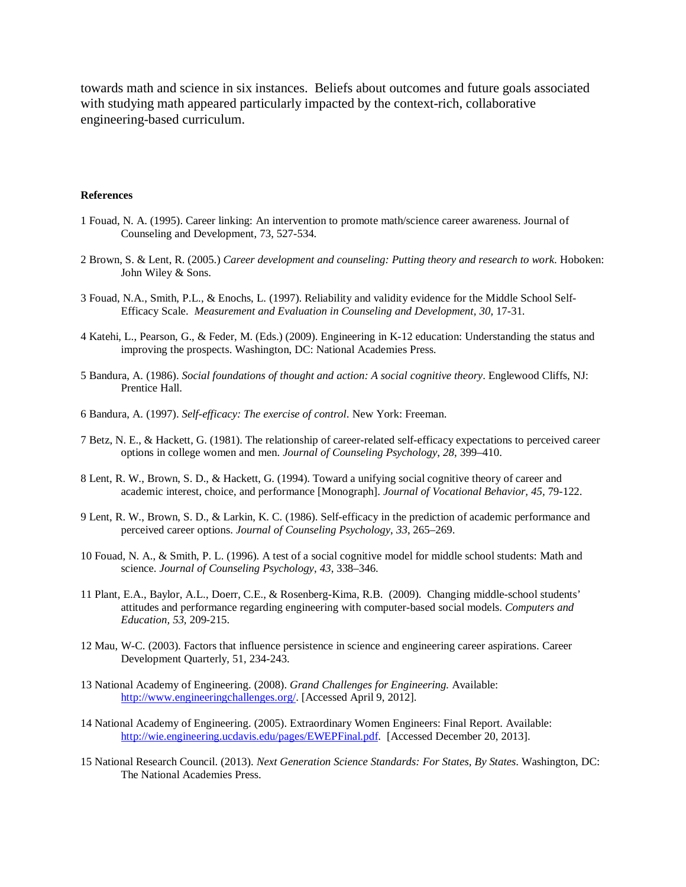towards math and science in six instances. Beliefs about outcomes and future goals associated with studying math appeared particularly impacted by the context-rich, collaborative engineering-based curriculum.

#### **References**

- 1 Fouad, N. A. (1995). Career linking: An intervention to promote math/science career awareness. Journal of Counseling and Development, 73, 527-534.
- 2 Brown, S. & Lent, R. (2005.) *Career development and counseling: Putting theory and research to work*. Hoboken: John Wiley & Sons.
- 3 Fouad, N.A., Smith, P.L., & Enochs, L. (1997). Reliability and validity evidence for the Middle School Self-Efficacy Scale. *Measurement and Evaluation in Counseling and Development, 30, 17-31.*
- 4 Katehi, L., Pearson, G., & Feder, M. (Eds.) (2009). Engineering in K-12 education: Understanding the status and improving the prospects. Washington, DC: National Academies Press.
- 5 Bandura, A. (1986). *Social foundations of thought and action: A social cognitive theory*. Englewood Cliffs, NJ: Prentice Hall.
- 6 Bandura, A. (1997). *Self-efficacy: The exercise of control*. New York: Freeman.
- 7 Betz, N. E., & Hackett, G. (1981). The relationship of career-related self-efficacy expectations to perceived career options in college women and men. *Journal of Counseling Psychology*, *28*, 399–410.
- 8 Lent, R. W., Brown, S. D., & Hackett, G. (1994). Toward a unifying social cognitive theory of career and academic interest, choice, and performance [Monograph]. *Journal of Vocational Behavior, 45,* 79-122.
- 9 Lent, R. W., Brown, S. D., & Larkin, K. C. (1986). Self-efficacy in the prediction of academic performance and perceived career options. *Journal of Counseling Psychology*, *33*, 265–269.
- 10 Fouad, N. A., & Smith, P. L. (1996). A test of a social cognitive model for middle school students: Math and science. *Journal of Counseling Psychology*, *43*, 338–346.
- 11 Plant, E.A., Baylor, A.L., Doerr, C.E., & Rosenberg-Kima, R.B. (2009). Changing middle-school students' attitudes and performance regarding engineering with computer-based social models. *Computers and Education, 53,* 209-215.
- 12 Mau, W-C. (2003). Factors that influence persistence in science and engineering career aspirations. Career Development Quarterly, 51, 234-243.
- 13 National Academy of Engineering. (2008). *Grand Challenges for Engineering.* Available: [http://www.engineeringchallenges.org/.](http://www.engineeringchallenges.org/) [Accessed April 9, 2012].
- 14 National Academy of Engineering. (2005). Extraordinary Women Engineers: Final Report. Available: [http://wie.engineering.ucdavis.edu/pages/EWEPFinal.pdf.](http://wie.engineering.ucdavis.edu/pages/EWEPFinal.pdf) [Accessed December 20, 2013].
- 15 National Research Council. (2013). *Next Generation Science Standards: For States, By States*. Washington, DC: The National Academies Press.